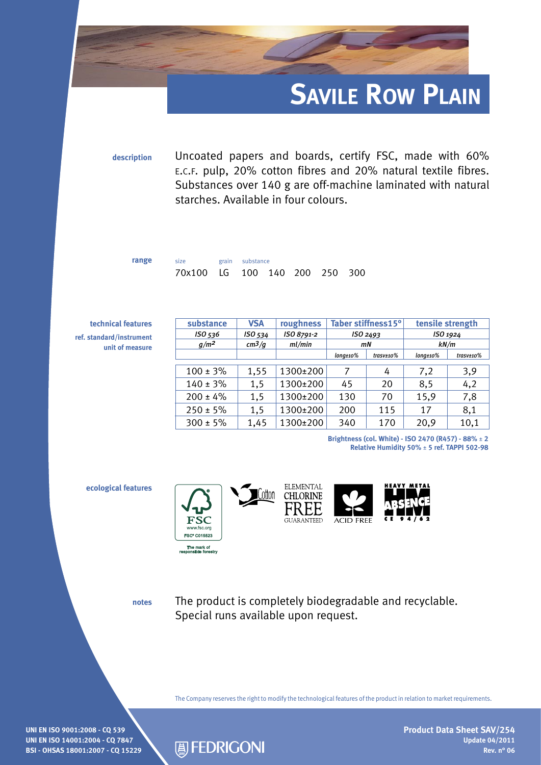

**description** Uncoated papers and boards, certify FSC, made with 60% e.c.f. pulp, 20% cotton fibres and 20% natural textile fibres. Substances over 140 g are off-machine laminated with natural starches. Available in four colours.

250 300

| range | size                  | grain substance |  |  |
|-------|-----------------------|-----------------|--|--|
|       | 70x100 LG 100 140 200 |                 |  |  |

| technical features                          | substance     | <b>VSA</b> | roughness  | Taber stiffness15°<br>ISO <sub>2493</sub> |                     | tensile strength<br>ISO 1924 |                            |
|---------------------------------------------|---------------|------------|------------|-------------------------------------------|---------------------|------------------------------|----------------------------|
| ref. standard/instrument<br>unit of measure | ISO 536       | ISO 534    | ISO 8791-2 |                                           |                     |                              |                            |
|                                             | $g/m^2$       | $cm^3/q$   | ml/min     | mN                                        |                     | kN/m                         |                            |
|                                             |               |            |            | $long \scriptstyle \pm 10 \%$             | $\text{trasv}$ ±10% | $long \scriptstyle \pm 10\%$ | $\frac{trasv \pm 10\%}{2}$ |
|                                             |               |            |            |                                           |                     |                              |                            |
|                                             | $100 \pm 3\%$ | 1,55       | 1300±200   | 7                                         | 4                   | 7,2                          | 3,9                        |
|                                             | $140 \pm 3\%$ | 1,5        | 1300±200   | 45                                        | 20                  | 8,5                          | 4,2                        |
|                                             | $200 \pm 4\%$ | 1,5        | 1300±200   | 130                                       | 70                  | 15,9                         | 7,8                        |
|                                             | $250 \pm 5\%$ | 1,5        | 1300±200   | 200                                       | 115                 | 17                           | 8,1                        |
|                                             | $300 \pm 5\%$ | 1,45       | 1300±200   | 340                                       | 170                 | 20,9                         | 10,1                       |

Cotton

**Brightness (col. White) - ISO 2470 (R457) - 88%** ± **2 Relative Humidity 50%** ± **5 ref. TAPPI 502-98**

**ecological features**







**notes**

The product is completely biodegradable and recyclable. Special runs available upon request.

The Company reserves the right to modify the technological features of the product in relation to market requirements.

**UNI EN ISO 9001:2008 - CQ 539 UNI EN ISO 14001:2004 - CQ 7847 BSI - OHSAS 18001:2007 - CQ 15229**



**Product Data Sheet SAV/254 Update 04/2011 Rev. n° 06**